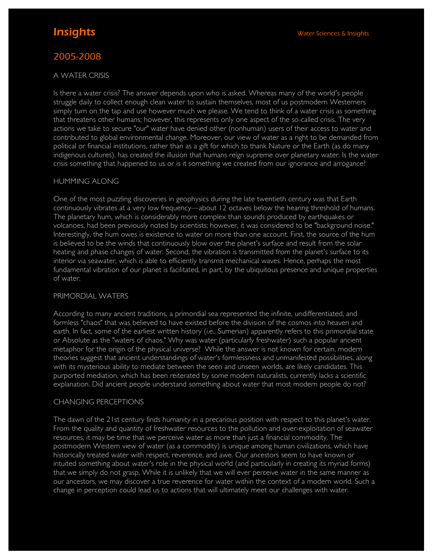# 2005-2008

#### A WATER CRISIS

Is there a water crisis? The answer depends upon who is asked. Whereas many of the world's people struggle daily to collect enough clean water to sustain themselves, most of us postmodern Westerners simply turn on the tap and use however much we please. We tend to think of a water crisis as something that threatens other humans; however, this represents only one aspect of the so-called crisis. The very actions we take to secure "our" water have denied other (nonhuman) users of their access to water and contributed to global environmental change. Moreover, our view of water as a right to be demanded from political or financial institutions, rather than as a gift for which to thank Nature or the Earth (as do many indigenous cultures), has created the illusion that humans reign supreme over planetary water. Is the water crisis something that happened to us or is it something we created from our ignorance and arrogance?

#### HUMMING ALONG

One of the most puzzling discoveries in geophysics during the late twentieth century was that Earth continuously vibrates at a very low frequency—about 12 octaves below the hearing threshold of humans. The planetary hum, which is considerably more complex than sounds produced by earthquakes or volcanoes, had been previously noted by scientists; however, it was considered to be "background noise." Interestingly, the hum owes is existence to water on more than one account. First, the source of the hum is believed to be the winds that continuously blow over the planet's surface and result from the solar heating and phase changes of water. Second, the vibration is transmitted from the planet's surface to its interior via seawater, which is able to efficiently transmit mechanical waves. Hence, perhaps the most fundamental vibration of our planet is facilitated, in part, by the ubiquitous presence and unique properties of water.

#### PRIMORDIAL WATERS

According to many ancient traditions, a primordial sea represented the infinite, undifferentiated, and formless "chaos" that was believed to have existed before the division of the cosmos into heaven and earth. In fact, some of the earliest written history (i.e., Sumerian) apparently refers to this primordial state or Absolute as the "waters of chaos." Why was water (particularly freshwater) such a popular ancient metaphor for the origin of the physical universe? While the answer is not known for certain, modern theories suggest that ancient understandings of water's formlessness and unmanifested possibilities, along with its mysterious ability to mediate between the seen and unseen worlds, are likely candidates. This purported mediation, which has been reiterated by some modern naturalists, currently lacks a scientific explanation. Did ancient people understand something about water that most modern people do not?

#### CHANGING PERCEPTIONS

The dawn of the 21st century finds humanity in a precarious position with respect to this planet's water. From the quality and quantity of freshwater resources to the pollution and over-exploitation of seawater resources, it may be time that we perceive water as more than just a financial commodity. The postmodern Western view of water (as a commodity) is unique among human civilizations, which have historically treated water with respect, reverence, and awe. Our ancestors seem to have known or intuited something about water's role in the physical world (and particularly in creating its myriad forms) that we simply do not grasp. While it is unlikely that we will ever perceive water in the same manner as our ancestors, we may discover a true reverence for water within the context of a modern world. Such a change in perception could lead us to actions that will ultimately meet our challenges with water.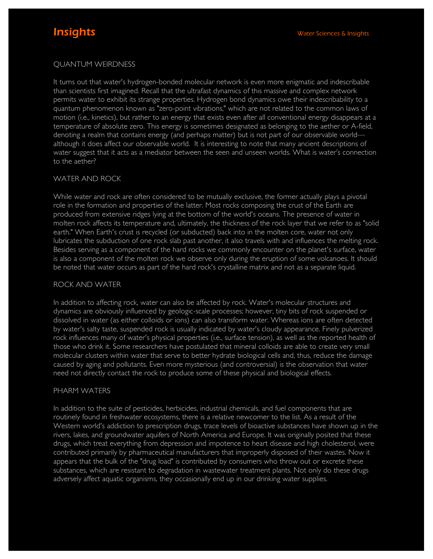# QUANTUM WEIRDNESS

It turns out that water's hydrogen-bonded molecular network is even more enigmatic and indescribable than scientists first imagined. Recall that the ultrafast dynamics of this massive and complex network permits water to exhibit its strange properties. Hydrogen bond dynamics owe their indescribability to a quantum phenomenon known as "zero-point vibrations," which are not related to the common laws of motion (i.e., kinetics), but rather to an energy that exists even after all conventional energy disappears at a temperature of absolute zero. This energy is sometimes designated as belonging to the aether or A-field, denoting a realm that contains energy (and perhaps matter) but is not part of our observable world although it does affect our observable world. It is interesting to note that many ancient descriptions of water suggest that it acts as a mediator between the seen and unseen worlds. What is water's connection to the aether?

### WATER AND ROCK

While water and rock are often considered to be mutually exclusive, the former actually plays a pivotal role in the formation and properties of the latter. Most rocks composing the crust of the Earth are produced from extensive ridges lying at the bottom of the world's oceans. The presence of water in molten rock affects its temperature and, ultimately, the thickness of the rock layer that we refer to as "solid earth." When Earth's crust is recycled (or subducted) back into in the molten core, water not only lubricates the subduction of one rock slab past another, it also travels with and influences the melting rock. Besides serving as a component of the hard rocks we commonly encounter on the planet's surface, water is also a component of the molten rock we observe only during the eruption of some volcanoes. It should be noted that water occurs as part of the hard rock's crystalline matrix and not as a separate liquid.

# ROCK AND WATER

In addition to affecting rock, water can also be affected by rock. Water's molecular structures and dynamics are obviously influenced by geologic-scale processes; however, tiny bits of rock suspended or dissolved in water (as either colloids or ions) can also transform water. Whereas ions are often detected by water's salty taste, suspended rock is usually indicated by water's cloudy appearance. Finely pulverized rock influences many of water's physical properties (i.e., surface tension), as well as the reported health of those who drink it. Some researchers have postulated that mineral colloids are able to create very small molecular clusters within water that serve to better hydrate biological cells and, thus, reduce the damage caused by aging and pollutants. Even more mysterious (and controversial) is the observation that water need not directly contact the rock to produce some of these physical and biological effects.

#### PHARM WATERS

In addition to the suite of pesticides, herbicides, industrial chemicals, and fuel components that are routinely found in freshwater ecosystems, there is a relative newcomer to the list. As a result of the Western world's addiction to prescription drugs, trace levels of bioactive substances have shown up in the rivers, lakes, and groundwater aquifers of North America and Europe. It was originally posited that these drugs, which treat everything from depression and impotence to heart disease and high cholesterol, were contributed primarily by pharmaceutical manufacturers that improperly disposed of their wastes. Now it appears that the bulk of the "drug load" is contributed by consumers who throw out or excrete these substances, which are resistant to degradation in wastewater treatment plants. Not only do these drugs adversely affect aquatic organisms, they occasionally end up in our drinking water supplies.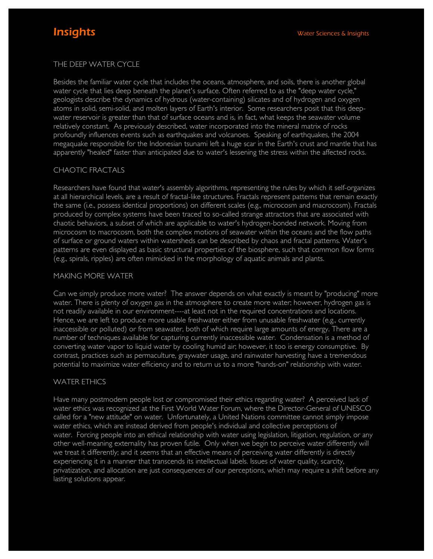# THE DEEP WATER CYCLE

Besides the familiar water cycle that includes the oceans, atmosphere, and soils, there is another global water cycle that lies deep beneath the planet's surface. Often referred to as the "deep water cycle," geologists describe the dynamics of hydrous (water-containing) silicates and of hydrogen and oxygen atoms in solid, semi-solid, and molten layers of Earth's interior. Some researchers posit that this deepwater reservoir is greater than that of surface oceans and is, in fact, what keeps the seawater volume relatively constant. As previously described, water incorporated into the mineral matrix of rocks profoundly influences events such as earthquakes and volcanoes. Speaking of earthquakes, the 2004 megaquake responsible for the Indonesian tsunami left a huge scar in the Earth's crust and mantle that has apparently "healed" faster than anticipated due to water's lessening the stress within the affected rocks.

### CHAOTIC FRACTALS

Researchers have found that water's assembly algorithms, representing the rules by which it self-organizes at all hierarchical levels, are a result of fractal-like structures. Fractals represent patterns that remain exactly the same (i.e., possess identical proportions) on different scales (e.g., microcosm and macrocosm). Fractals produced by complex systems have been traced to so-called strange attractors that are associated with chaotic behaviors, a subset of which are applicable to water's hydrogen-bonded network. Moving from microcosm to macrocosm, both the complex motions of seawater within the oceans and the flow paths of surface or ground waters within watersheds can be described by chaos and fractal patterns. Water's patterns are even displayed as basic structural properties of the biosphere, such that common flow forms (e.g., spirals, ripples) are often mimicked in the morphology of aquatic animals and plants.

#### MAKING MORE WATER

Can we simply produce more water? The answer depends on what exactly is meant by "producing" more water. There is plenty of oxygen gas in the atmosphere to create more water; however, hydrogen gas is not readily available in our environment----at least not in the required concentrations and locations. Hence, we are left to produce more usable freshwater either from unusable freshwater (e.g., currently inaccessible or polluted) or from seawater, both of which require large amounts of energy. There are a number of techniques available for capturing currently inaccessible water. Condensation is a method of converting water vapor to liquid water by cooling humid air; however, it too is energy consumptive. By contrast, practices such as permaculture, graywater usage, and rainwater harvesting have a tremendous potential to maximize water efficiency and to return us to a more "hands-on" relationship with water.

# WATER ETHICS

Have many postmodern people lost or compromised their ethics regarding water? A perceived lack of water ethics was recognized at the First World Water Forum, where the Director-General of UNESCO called for a "new attitude" on water. Unfortunately, a United Nations committee cannot simply impose water ethics, which are instead derived from people's individual and collective perceptions of water. Forcing people into an ethical relationship with water using legislation, litigation, regulation, or any other well-meaning externality has proven futile. Only when we begin to perceive water differently will we treat it differently; and it seems that an effective means of perceiving water differently is directly experiencing it in a manner that transcends its intellectual labels. Issues of water quality, scarcity, privatization, and allocation are just consequences of our perceptions, which may require a shift before any lasting solutions appear.